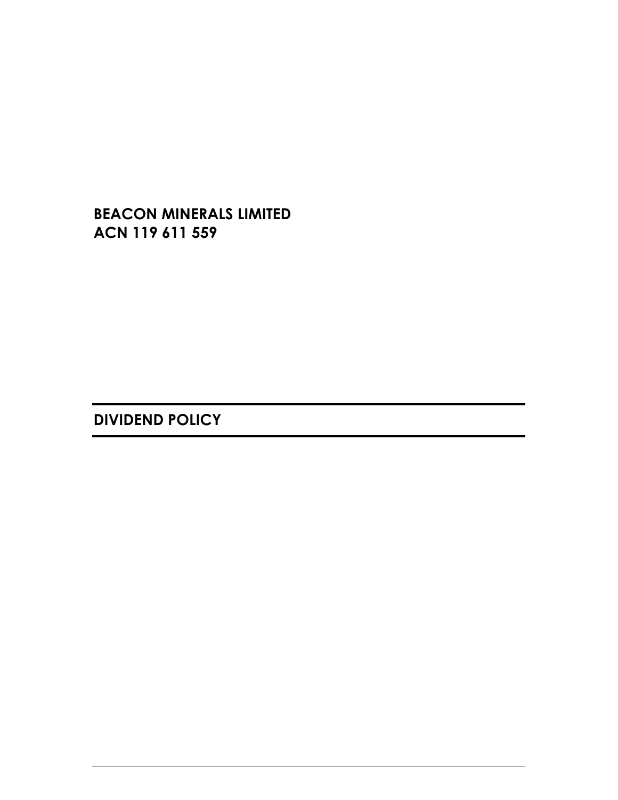**BEACON MINERALS LIMITED ACN 119 611 559** 

**DIVIDEND POLICY**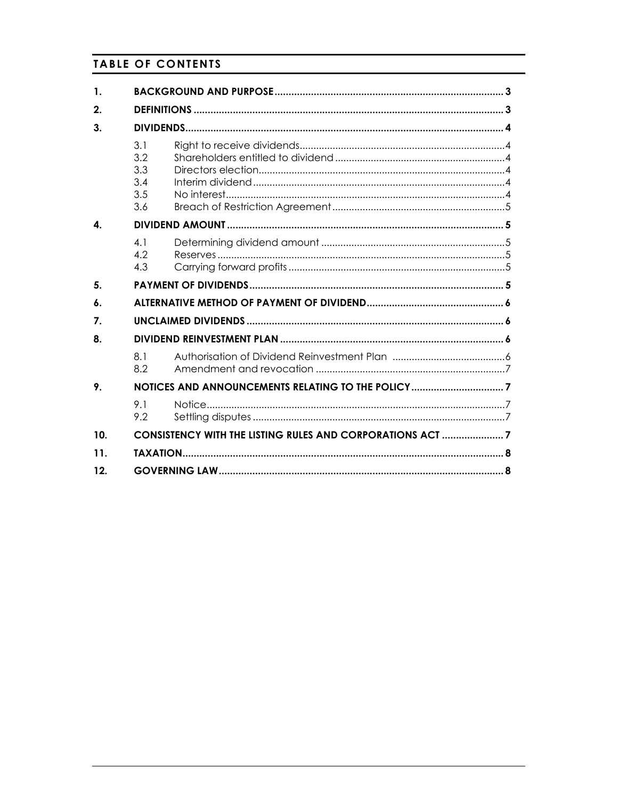# **TABLE OF CONTENTS**

| 1.           |                                        |                                                           |  |
|--------------|----------------------------------------|-----------------------------------------------------------|--|
| 2.           |                                        |                                                           |  |
| 3.           |                                        |                                                           |  |
|              | 3.1<br>3.2<br>3.3<br>3.4<br>3.5<br>3.6 |                                                           |  |
| $\mathbf{A}$ |                                        |                                                           |  |
|              | 4.1<br>4.2<br>4.3                      |                                                           |  |
| 5.           |                                        |                                                           |  |
| 6.           |                                        |                                                           |  |
| 7.           |                                        |                                                           |  |
| 8.           |                                        |                                                           |  |
|              | 8.1<br>8.2                             |                                                           |  |
| 9.           |                                        |                                                           |  |
|              | 9 1<br>9.2                             |                                                           |  |
| 10.          |                                        | CONSISTENCY WITH THE LISTING RULES AND CORPORATIONS ACT 7 |  |
| 11.          |                                        |                                                           |  |
| 12.          |                                        |                                                           |  |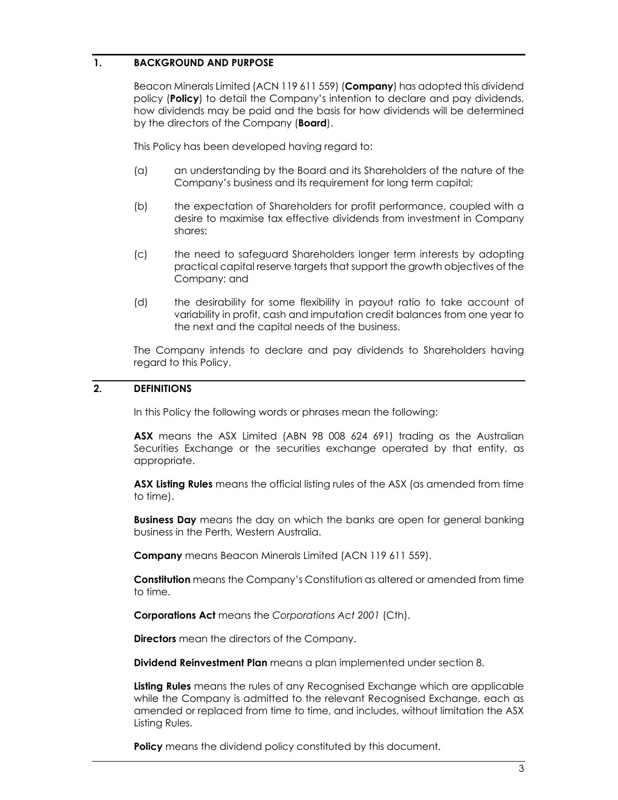### **1. BACKGROUND AND PURPOSE**

Beacon Minerals Limited (ACN 119 611 559) (**Company**) has adopted this dividend policy (**Policy**) to detail the Company's intention to declare and pay dividends, how dividends may be paid and the basis for how dividends will be determined by the directors of the Company (**Board**).

This Policy has been developed having regard to:

- (a) an understanding by the Board and its Shareholders of the nature of the Company's business and its requirement for long term capital;
- (b) the expectation of Shareholders for profit performance, coupled with a desire to maximise tax effective dividends from investment in Company shares;
- (c) the need to safeguard Shareholders longer term interests by adopting practical capital reserve targets that support the growth objectives of the Company; and
- (d) the desirability for some flexibility in payout ratio to take account of variability in profit, cash and imputation credit balances from one year to the next and the capital needs of the business.

The Company intends to declare and pay dividends to Shareholders having regard to this Policy.

# **2. DEFINITIONS**

In this Policy the following words or phrases mean the following:

**ASX** means the ASX Limited (ABN 98 008 624 691) trading as the Australian Securities Exchange or the securities exchange operated by that entity, as appropriate.

**ASX Listing Rules** means the official listing rules of the ASX (as amended from time to time).

**Business Day** means the day on which the banks are open for general banking business in the Perth, Western Australia.

**Company** means Beacon Minerals Limited (ACN 119 611 559).

**Constitution** means the Company's Constitution as altered or amended from time to time.

**Corporations Act** means the *Corporations Act 2001* (Cth).

**Directors** mean the directors of the Company.

**Dividend Reinvestment Plan** means a plan implemented under section 8.

**Listing Rules** means the rules of any Recognised Exchange which are applicable while the Company is admitted to the relevant Recognised Exchange, each as amended or replaced from time to time, and includes, without limitation the ASX Listing Rules.

**Policy** means the dividend policy constituted by this document.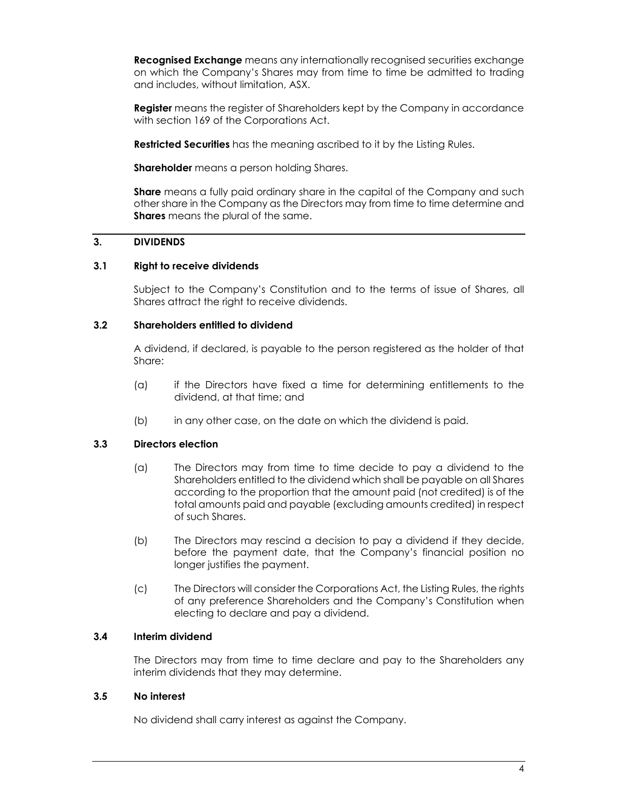**Recognised Exchange** means any internationally recognised securities exchange on which the Company's Shares may from time to time be admitted to trading and includes, without limitation, ASX.

**Register** means the register of Shareholders kept by the Company in accordance with section 169 of the Corporations Act.

**Restricted Securities** has the meaning ascribed to it by the Listing Rules.

**Shareholder** means a person holding Shares.

**Share** means a fully paid ordinary share in the capital of the Company and such other share in the Company as the Directors may from time to time determine and **Shares** means the plural of the same.

# **3. DIVIDENDS**

# **3.1 Right to receive dividends**

Subject to the Company's Constitution and to the terms of issue of Shares, all Shares attract the right to receive dividends.

# **3.2 Shareholders entitled to dividend**

A dividend, if declared, is payable to the person registered as the holder of that Share:

- (a) if the Directors have fixed a time for determining entitlements to the dividend, at that time; and
- (b) in any other case, on the date on which the dividend is paid.

# **3.3 Directors election**

- (a) The Directors may from time to time decide to pay a dividend to the Shareholders entitled to the dividend which shall be payable on all Shares according to the proportion that the amount paid (not credited) is of the total amounts paid and payable (excluding amounts credited) in respect of such Shares.
- (b) The Directors may rescind a decision to pay a dividend if they decide, before the payment date, that the Company's financial position no longer justifies the payment.
- (c) The Directors will consider the Corporations Act, the Listing Rules, the rights of any preference Shareholders and the Company's Constitution when electing to declare and pay a dividend.

### **3.4 Interim dividend**

The Directors may from time to time declare and pay to the Shareholders any interim dividends that they may determine.

### **3.5 No interest**

No dividend shall carry interest as against the Company.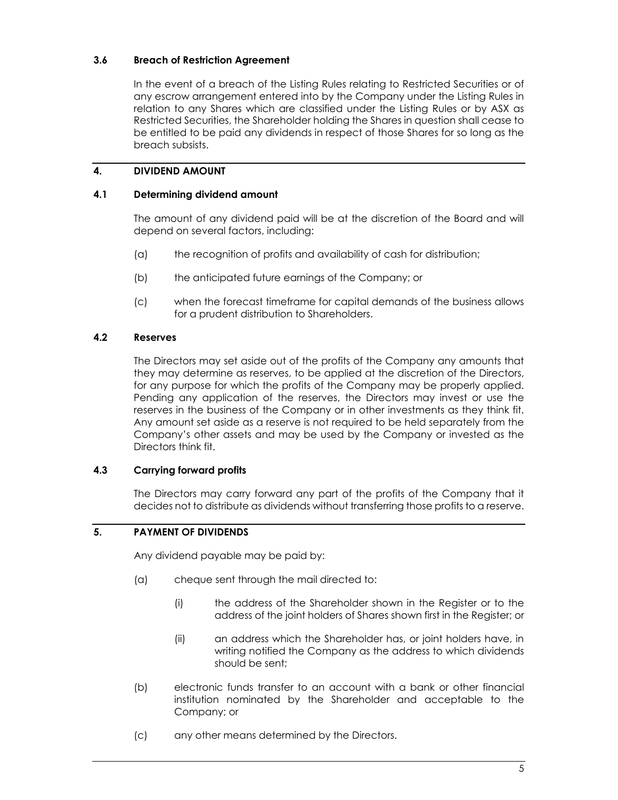# **3.6 Breach of Restriction Agreement**

In the event of a breach of the Listing Rules relating to Restricted Securities or of any escrow arrangement entered into by the Company under the Listing Rules in relation to any Shares which are classified under the Listing Rules or by ASX as Restricted Securities, the Shareholder holding the Shares in question shall cease to be entitled to be paid any dividends in respect of those Shares for so long as the breach subsists.

# **4. DIVIDEND AMOUNT**

### **4.1 Determining dividend amount**

The amount of any dividend paid will be at the discretion of the Board and will depend on several factors, including:

- (a) the recognition of profits and availability of cash for distribution;
- (b) the anticipated future earnings of the Company; or
- (c) when the forecast timeframe for capital demands of the business allows for a prudent distribution to Shareholders.

# **4.2 Reserves**

The Directors may set aside out of the profits of the Company any amounts that they may determine as reserves, to be applied at the discretion of the Directors, for any purpose for which the profits of the Company may be properly applied. Pending any application of the reserves, the Directors may invest or use the reserves in the business of the Company or in other investments as they think fit. Any amount set aside as a reserve is not required to be held separately from the Company's other assets and may be used by the Company or invested as the Directors think fit.

### **4.3 Carrying forward profits**

The Directors may carry forward any part of the profits of the Company that it decides not to distribute as dividends without transferring those profits to a reserve.

# **5. PAYMENT OF DIVIDENDS**

Any dividend payable may be paid by:

- (a) cheque sent through the mail directed to:
	- (i) the address of the Shareholder shown in the Register or to the address of the joint holders of Shares shown first in the Register; or
	- (ii) an address which the Shareholder has, or joint holders have, in writing notified the Company as the address to which dividends should be sent;
- (b) electronic funds transfer to an account with a bank or other financial institution nominated by the Shareholder and acceptable to the Company; or
- (c) any other means determined by the Directors.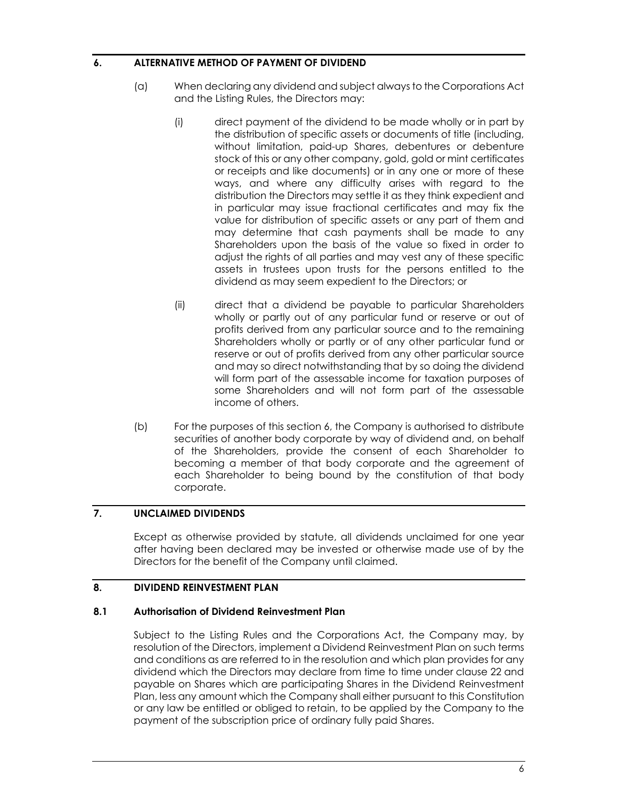### **6. ALTERNATIVE METHOD OF PAYMENT OF DIVIDEND**

- (a) When declaring any dividend and subject always to the Corporations Act and the Listing Rules, the Directors may:
	- (i) direct payment of the dividend to be made wholly or in part by the distribution of specific assets or documents of title (including, without limitation, paid-up Shares, debentures or debenture stock of this or any other company, gold, gold or mint certificates or receipts and like documents) or in any one or more of these ways, and where any difficulty arises with regard to the distribution the Directors may settle it as they think expedient and in particular may issue fractional certificates and may fix the value for distribution of specific assets or any part of them and may determine that cash payments shall be made to any Shareholders upon the basis of the value so fixed in order to adjust the rights of all parties and may vest any of these specific assets in trustees upon trusts for the persons entitled to the dividend as may seem expedient to the Directors; or
	- (ii) direct that a dividend be payable to particular Shareholders wholly or partly out of any particular fund or reserve or out of profits derived from any particular source and to the remaining Shareholders wholly or partly or of any other particular fund or reserve or out of profits derived from any other particular source and may so direct notwithstanding that by so doing the dividend will form part of the assessable income for taxation purposes of some Shareholders and will not form part of the assessable income of others.
- (b) For the purposes of this section 6, the Company is authorised to distribute securities of another body corporate by way of dividend and, on behalf of the Shareholders, provide the consent of each Shareholder to becoming a member of that body corporate and the agreement of each Shareholder to being bound by the constitution of that body corporate.

### **7. UNCLAIMED DIVIDENDS**

Except as otherwise provided by statute, all dividends unclaimed for one year after having been declared may be invested or otherwise made use of by the Directors for the benefit of the Company until claimed.

### **8. DIVIDEND REINVESTMENT PLAN**

### **8.1 Authorisation of Dividend Reinvestment Plan**

Subject to the Listing Rules and the Corporations Act, the Company may, by resolution of the Directors, implement a Dividend Reinvestment Plan on such terms and conditions as are referred to in the resolution and which plan provides for any dividend which the Directors may declare from time to time under clause 22 and payable on Shares which are participating Shares in the Dividend Reinvestment Plan, less any amount which the Company shall either pursuant to this Constitution or any law be entitled or obliged to retain, to be applied by the Company to the payment of the subscription price of ordinary fully paid Shares.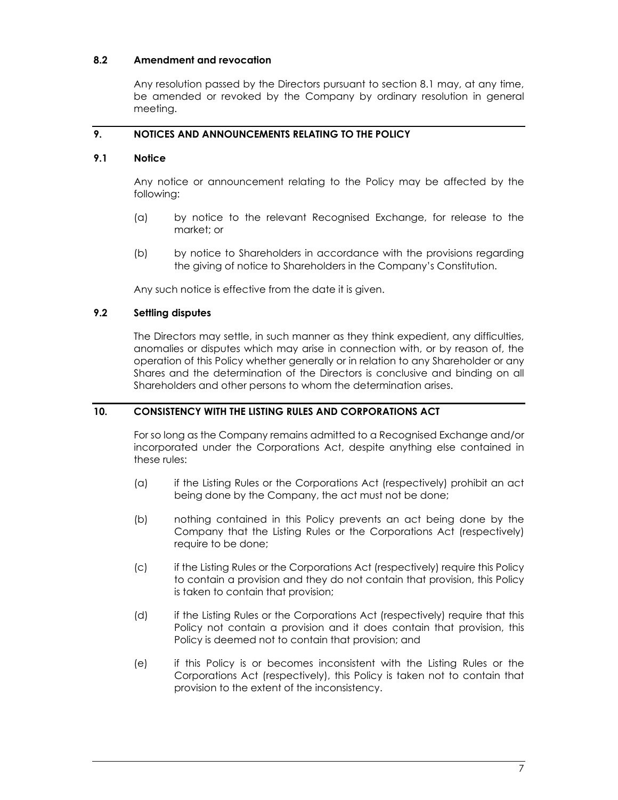# **8.2 Amendment and revocation**

Any resolution passed by the Directors pursuant to section 8.1 may, at any time, be amended or revoked by the Company by ordinary resolution in general meeting.

# **9. NOTICES AND ANNOUNCEMENTS RELATING TO THE POLICY**

### **9.1 Notice**

Any notice or announcement relating to the Policy may be affected by the following:

- (a) by notice to the relevant Recognised Exchange, for release to the market; or
- (b) by notice to Shareholders in accordance with the provisions regarding the giving of notice to Shareholders in the Company's Constitution.

Any such notice is effective from the date it is given.

### **9.2 Settling disputes**

The Directors may settle, in such manner as they think expedient, any difficulties, anomalies or disputes which may arise in connection with, or by reason of, the operation of this Policy whether generally or in relation to any Shareholder or any Shares and the determination of the Directors is conclusive and binding on all Shareholders and other persons to whom the determination arises.

### **10. CONSISTENCY WITH THE LISTING RULES AND CORPORATIONS ACT**

For so long as the Company remains admitted to a Recognised Exchange and/or incorporated under the Corporations Act, despite anything else contained in these rules:

- (a) if the Listing Rules or the Corporations Act (respectively) prohibit an act being done by the Company, the act must not be done;
- (b) nothing contained in this Policy prevents an act being done by the Company that the Listing Rules or the Corporations Act (respectively) require to be done;
- (c) if the Listing Rules or the Corporations Act (respectively) require this Policy to contain a provision and they do not contain that provision, this Policy is taken to contain that provision;
- (d) if the Listing Rules or the Corporations Act (respectively) require that this Policy not contain a provision and it does contain that provision, this Policy is deemed not to contain that provision; and
- (e) if this Policy is or becomes inconsistent with the Listing Rules or the Corporations Act (respectively), this Policy is taken not to contain that provision to the extent of the inconsistency.